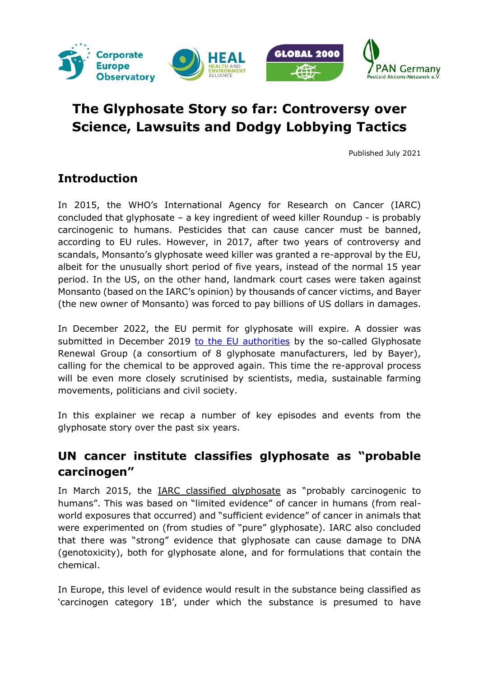

# **The Glyphosate Story so far: Controversy over Science, Lawsuits and Dodgy Lobbying Tactics**

Published July 2021

### **Introduction**

In 2015, the WHO's International Agency for Research on Cancer (IARC) concluded that glyphosate – a key ingredient of weed killer Roundup - is probably carcinogenic to humans. Pesticides that can cause cancer must be banned, according to EU rules. However, in 2017, after two years of controversy and scandals, Monsanto's glyphosate weed killer was granted a re-approval by the EU, albeit for the unusually short period of five years, instead of the normal 15 year period. In the US, on the other hand, landmark court cases were taken against Monsanto (based on the IARC's opinion) by thousands of cancer victims, and Bayer (the new owner of Monsanto) was forced to pay billions of US dollars in damages.

In December 2022, the EU permit for glyphosate will expire. A dossier was submitted in December 2019 [to the EU authorities](https://ec.europa.eu/food/plants/pesticides/approval-active-substances/renewal-approval/glyphosate_en) by the so-called Glyphosate Renewal Group (a consortium of 8 glyphosate manufacturers, led by Bayer), calling for the chemical to be approved again. This time the re-approval process will be even more closely scrutinised by scientists, media, sustainable farming movements, politicians and civil society.

In this explainer we recap a number of key episodes and events from the glyphosate story over the past six years.

## **UN cancer institute classifies glyphosate as "probable carcinogen"**

In March 2015, the [IARC classified glyphosate](https://www.iarc.who.int/featured-news/media-centre-iarc-news-glyphosate/) as "probably carcinogenic to humans". This was based on "limited evidence" of cancer in humans (from realworld exposures that occurred) and "sufficient evidence" of cancer in animals that were experimented on (from studies of "pure" glyphosate). IARC also concluded that there was "strong" evidence that glyphosate can cause damage to DNA (genotoxicity), both for glyphosate alone, and for formulations that contain the chemical.

In Europe, this level of evidence would result in the substance being classified as 'carcinogen category 1B', under which the substance is presumed to have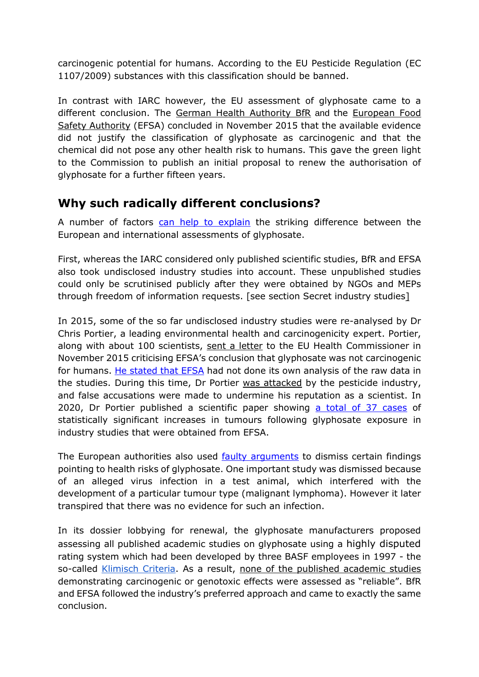carcinogenic potential for humans. According to the EU Pesticide Regulation (EC 1107/2009) substances with this classification should be banned.

In contrast with IARC however, the EU assessment of glyphosate came to a different conclusion. The [German Health Authority BfR](https://www.bfr.bund.de/en/the_bfr_has_finalised_its_draft_report_for_the_re_evaluation_of_glyphosate-188632.html) and the [European Food](https://www.efsa.europa.eu/en/press/news/151112)  [Safety Authority](https://www.efsa.europa.eu/en/press/news/151112) (EFSA) concluded in November 2015 that the available evidence did not justify the classification of glyphosate as carcinogenic and that the chemical did not pose any other health risk to humans. This gave the green light to the Commission to publish an initial proposal to renew the authorisation of glyphosate for a further fifteen years.

#### **Why such radically different conclusions?**

A number of factors [can help to explain](https://corporateeurope.org/en/food-and-agriculture/2015/11/efsa-and-member-states-vs-iarc-glyphosate-has-science-won) the striking difference between the European and international assessments of glyphosate.

First, whereas the IARC considered only published scientific studies, BfR and EFSA also took undisclosed industry studies into account. These unpublished studies could only be scrutinised publicly after they were obtained by NGOs and MEPs through freedom of information requests. [see section Secret industry studies]

In 2015, some of the so far undisclosed industry studies were re-analysed by Dr Chris Portier, a leading environmental health and carcinogenicity expert. Portier, along with about 100 scientists, [sent a letter](https://www.efsa.europa.eu/sites/default/files/Prof_Portier_letter.pdf) to the EU Health Commissioner in November 2015 criticising EFSA's conclusion that glyphosate was not carcinogenic for humans. [He stated that EFSA](https://www.politico.eu/article/glyphosate-carcinogenic-debate-christoper-portier-the-man-europes-food-watchdog-fears-the-most/) had not done its own analysis of the raw data in the studies. During this time, Dr Portier [was attacked](https://corporateeurope.org/en/food-and-agriculture/2017/10/setting-record-straight-false-accusations-dr-c-portier-work-glyphosate) by the pesticide industry, and false accusations were made to undermine his reputation as a scientist. In 2020, Dr Portier published a scientific paper showing [a total of 37 cases](https://ehjournal.biomedcentral.com/articles/10.1186/s12940-020-00574-1) of statistically significant increases in tumours following glyphosate exposure in industry studies that were obtained from EFSA.

The European authorities also used [faulty arguments](https://jech.bmj.com/content/jech/72/8/668.full.pdf) to dismiss certain findings pointing to health risks of glyphosate. One important study was dismissed because of an alleged virus infection in a test animal, which interfered with the development of a particular tumour type (malignant lymphoma). However it later transpired that there was no evidence for such an infection.

In its dossier lobbying for renewal, the glyphosate manufacturers proposed assessing all published academic studies on glyphosate using a highly disputed rating system which had been developed by three BASF employees in 1997 - the so-called [Klimisch Criteria.](https://en.wikipedia.org/wiki/Klimisch_score) As a result, none of the published academic studies demonstrating carcinogenic or genotoxic effects were assessed as "reliable". BfR and EFSA followed the industry's preferred approach and came to exactly the same conclusion.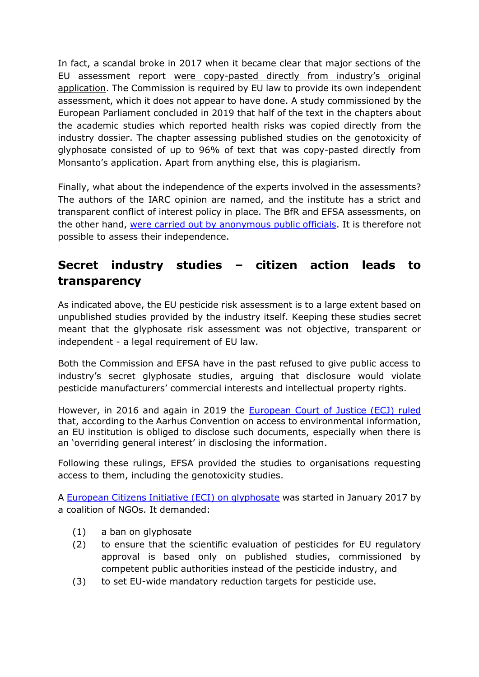In fact, a scandal broke in 2017 when it became clear that major sections of the EU assessment report were copy-[pasted directly from industry's original](https://www.theguardian.com/environment/2017/sep/15/eu-report-on-weedkiller-safety-copied-text-from-monsanto-study)  [application.](https://www.theguardian.com/environment/2017/sep/15/eu-report-on-weedkiller-safety-copied-text-from-monsanto-study) The Commission is required by EU law to provide its own independent assessment, which it does not appear to have done. [A study commissioned](https://www.guengl.eu/content/uploads/2019/01/Expertise-RAR-Glyphosat-2018-01-11-1.pdf) by the European Parliament concluded in 2019 that half of the text in the chapters about the academic studies which reported health risks was copied directly from the industry dossier. The chapter assessing published studies on the genotoxicity of glyphosate consisted of up to 96% of text that was copy-pasted directly from Monsanto's application. Apart from anything else, this is plagiarism.

Finally, what about the independence of the experts involved in the assessments? The authors of the IARC opinion are named, and the institute has a strict and transparent conflict of interest policy in place. The BfR and EFSA assessments, on the other hand, [were carried out by anonymous public officials.](https://corporateeurope.org/en/food-and-agriculture/2015/04/glyphosate-saga-independent-scientific-advice-according-germany-uk) It is therefore not possible to assess their independence.

# **Secret industry studies – citizen action leads to transparency**

As indicated above, the EU pesticide risk assessment is to a large extent based on unpublished studies provided by the industry itself. Keeping these studies secret meant that the glyphosate risk assessment was not objective, transparent or independent - a legal requirement of EU law.

Both the Commission and EFSA have in the past refused to give public access to industry's secret glyphosate studies, arguing that disclosure would violate pesticide manufacturers' commercial interests and intellectual property rights.

However, in 2016 and again in 2019 the [European Court of Justice \(ECJ\) ruled](https://www.greens-efa.eu/en/article/press/ecj-ruling-a-victory-in-the-fight-for-health-transparency-and-the-environment)  that, according to the Aarhus Convention on access to environmental information, an EU institution is obliged to disclose such documents, especially when there is an 'overriding general interest' in disclosing the information.

Following these rulings, EFSA provided the studies to organisations requesting access to them, including the genotoxicity studies.

A [European Citizens Initiative \(ECI\) on glyphosate](https://europa.eu/citizens-initiative/initiatives/details/2017/000002_en) was started in January 2017 by a coalition of NGOs. It demanded:

- (1) a ban on glyphosate
- (2) to ensure that the scientific evaluation of pesticides for EU regulatory approval is based only on published studies, commissioned by competent public authorities instead of the pesticide industry, and
- (3) to set EU-wide mandatory reduction targets for pesticide use.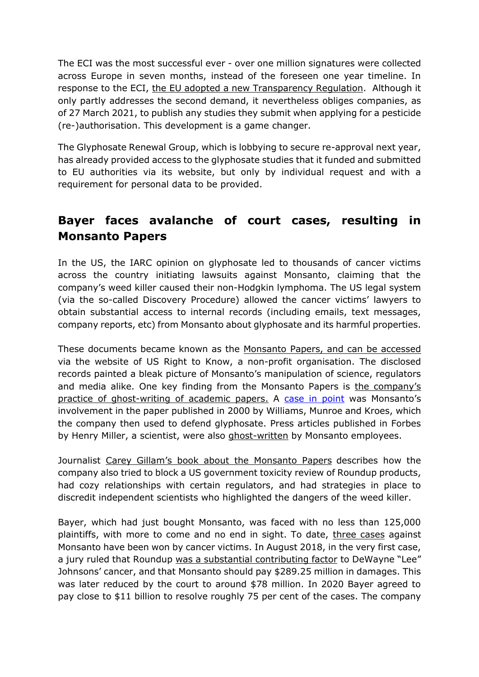The ECI was the most successful ever - over one million signatures were collected across Europe in seven months, instead of the foreseen one year timeline. In response to the ECI, the [EU adopted a new Transparency Regulation.](https://ec.europa.eu/food/questions-answers_en#what_is_the_new_transpare) Although it only partly addresses the second demand, it nevertheless obliges companies, as of 27 March 2021, to publish any studies they submit when applying for a pesticide (re-)authorisation. This development is a game changer.

The Glyphosate Renewal Group, which is lobbying to secure re-approval next year, has already provided access to the glyphosate studies that it funded and submitted to EU authorities via its website, but only by individual request and with a requirement for personal data to be provided.

# **Bayer faces avalanche of court cases, resulting in Monsanto Papers**

In the US, the IARC opinion on glyphosate led to thousands of cancer victims across the country initiating lawsuits against Monsanto, claiming that the company's weed killer caused their non-Hodgkin lymphoma. The US legal system (via the so-called Discovery Procedure) allowed the cancer victims' lawyers to obtain substantial access to internal records (including emails, text messages, company reports, etc) from Monsanto about glyphosate and its harmful properties.

These documents became known as the [Monsanto Papers, and can be accessed](https://usrtk.org/monsanto-papers/federal-court/#general-mdl-documents) via the website of US Right to Know, a non-profit organisation. The disclosed records painted a bleak picture of Monsanto's manipulation of science, regulators and media alike. One key finding from the Monsanto Papers is [the company's](https://corporateeurope.org/en/food-and-agriculture/2018/03/what-monsanto-papers-tell-us-about-corporate-science)  [practice of ghost-writing](https://corporateeurope.org/en/food-and-agriculture/2018/03/what-monsanto-papers-tell-us-about-corporate-science) of academic papers. A [case in point](https://www.europarl.europa.eu/cmsdata/129120/PH%20Glyphosate_Gillam.pdf) was Monsanto's involvement in the paper published in 2000 by Williams, Munroe and Kroes, which the company then used to defend glyphosate. Press articles published in Forbes by Henry Miller, a scientist, were also [ghost-written](https://corporateeurope.org/sites/default/files/attachments/22-internal-email-demonstrating-monsanto-ghostwriting-article-criticizing-iarc-for-press.pdf) by Monsanto employees.

Journalist [Carey Gillam's book about the Monsanto Papers](https://careygillam.com/book) describes how the company also tried to block a US government toxicity review of Roundup products, had cozy relationships with certain regulators, and had strategies in place to discredit independent scientists who highlighted the dangers of the weed killer.

Bayer, which had just bought Monsanto, was faced with no less than 125,000 plaintiffs, with more to come and no end in sight. To date, [three cases](https://usrtk.org/monsanto-roundup-trial-tracker/judge-shoots-down-bayers-plan-to-limit-future-roundup-legal-liability-issues-harsh-criticism/) against Monsanto have been won by cancer victims. In August 2018, in the very first case, a jury ruled that Roundup [was a substantial contributing factor](https://usrtk.org/monsanto-papers/) to DeWayne "Lee" Johnsons' cancer, and that Monsanto should pay \$289.25 million in damages. This was later reduced by the court to around \$78 million. In 2020 Bayer agreed to pay close to \$11 billion to resolve roughly 75 per cent of the cases. The company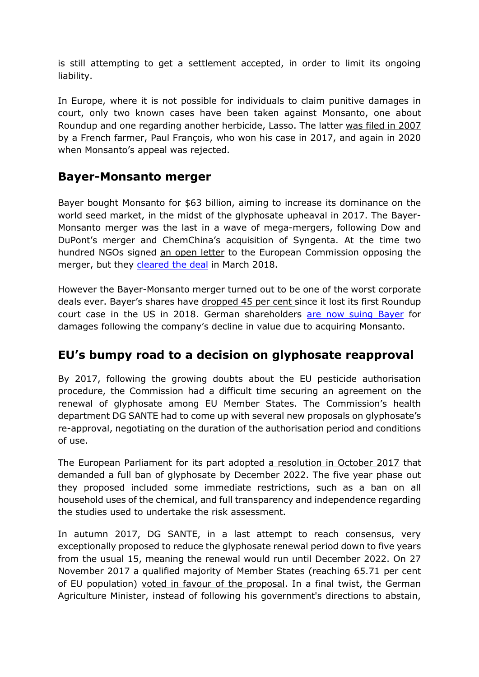is still attempting to get a settlement accepted, in order to limit its ongoing liability.

In Europe, where it is not possible for individuals to claim punitive damages in court, only two known cases have been taken against Monsanto, one about Roundup and one regarding another herbicide, Lasso. The latter [was filed in 2007](https://www.justicepesticides.org/en/juridic_case/paul-francois-v-monsanto/)  [by a French farmer,](https://www.justicepesticides.org/en/juridic_case/paul-francois-v-monsanto/) Paul François, who [won his case](https://justicepesticides.org/en/juridic_case/paul-francois-v-monsanto/) in 2017, and again in 2020 when Monsanto's appeal was rejected.

#### **Bayer-Monsanto merger**

Bayer bought Monsanto for \$63 billion, aiming to increase its dominance on the world seed market, in the midst of the glyphosate upheaval in 2017. The Bayer-Monsanto merger was the last in a wave of mega-mergers, following Dow and DuPont's merger and ChemChina's acquisition of Syngenta. At the time two hundred NGOs signed [an open letter](https://corporateeurope.org/sites/default/files/attachments/mergers_letter_final_signed.pdf) to the European Commission opposing the merger, but they [cleared the deal](https://ec.europa.eu/commission/presscorner/detail/en/IP_18_2282) in March 2018.

However the Bayer-Monsanto merger turned out to be one of the worst corporate deals ever. Bayer's shares have [dropped 45 per cent s](https://www.reuters.com/article/us-bayer-litigation-idUSKBN29R1IO)ince it lost its first Roundup court case in the US in 2018. German shareholders [are now suing](https://www.reuters.com/article/us-bayer-litigation-idUSKBN29R1IO) Bayer for damages following the company's decline in value due to acquiring Monsanto.

## **EU's bumpy road to a decision on glyphosate reapproval**

By 2017, following the growing doubts about the EU pesticide authorisation procedure, the Commission had a difficult time securing an agreement on the renewal of glyphosate among EU Member States. The Commission's health department DG SANTE had to come up with several new proposals on glyphosate's re-approval, negotiating on the duration of the authorisation period and conditions of use.

The European Parliament for its part adopted [a resolution in October 2017](https://www.europarl.europa.eu/news/en/press-room/20171020IPR86572/meps-demand-glyphosate-phase-out-with-full-ban-by-end-2022) that demanded a full ban of glyphosate by December 2022. The five year phase out they proposed included some immediate restrictions, such as a ban on all household uses of the chemical, and full transparency and independence regarding the studies used to undertake the risk assessment.

In autumn 2017, DG SANTE, in a last attempt to reach consensus, very exceptionally proposed to reduce the glyphosate renewal period down to five years from the usual 15, meaning the renewal would run until December 2022. On 27 November 2017 a qualified majority of Member States (reaching 65.71 per cent of EU population) [voted in favour of the proposal.](https://www.euractiv.com/section/agriculture-food/news/germany-swings-the-balance-as-eu-renews-glyphosate-for-five-years/) In a final twist, the German Agriculture Minister, instead of following his government's directions to abstain,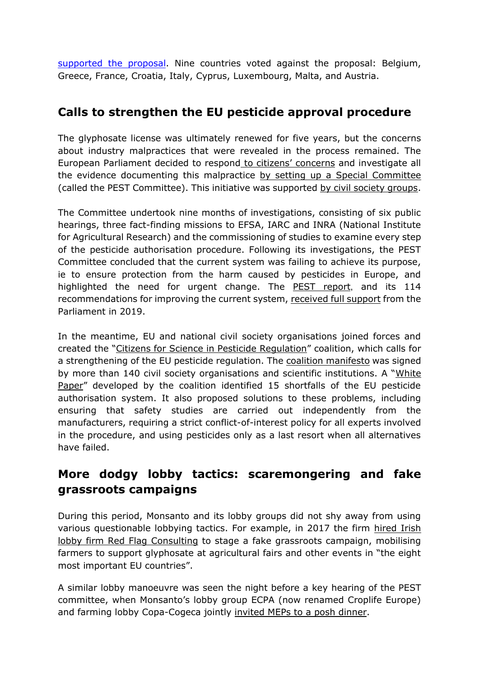supported [the proposal.](https://www.euractiv.com/section/agriculture-food/news/merkel-angry-with-agriculture-minister-who-voted-in-favour-of-glyphosate/) Nine countries voted against the proposal: Belgium, Greece, France, Croatia, Italy, Cyprus, Luxembourg, Malta, and Austria.

## **Calls to strengthen the EU pesticide approval procedure**

The glyphosate license was ultimately renewed for five years, but the concerns about industry malpractices that were revealed in the process remained. The European Parliament decided to respond [to citizens' concerns](https://www.env-health.org/glyphosate-future-generations-to-pay-the-price-of-reauthorisation-of-health-harming-herbicide/) and investigate all the evidence documenting this malpractice [by setting up a Special Committee](https://www.europarl.europa.eu/news/en/press-room/20180202IPR97027/pesticides-parliament-sets-up-special-committee-on-eu-authorisation-process) (called the PEST Committee). This initiative was supported [by civil society groups.](https://www.env-health.org/wp-content/uploads/2018/06/20180411_letter_pest_committee.compressed.pdf)

The Committee undertook nine months of investigations, consisting of six public hearings, three fact-finding missions to EFSA, IARC and INRA (National Institute for Agricultural Research) and the commissioning of studies to examine every step of the pesticide authorisation procedure. Following its investigations, the PEST Committee concluded that the current system was failing to achieve its purpose, ie to ensure protection from the harm caused by pesticides in Europe, and highlighted the need for urgent change. The [PEST report](https://www.europarl.europa.eu/doceo/document/A-8-2018-0475_EN.html), and its 114 recommendations for improving the current system, [received full support](https://www.pan-europe.info/press-releases/2019/01/european-parliament-votes-improve-pesticide-authorisation-system) from the Parliament in 2019.

In the meantime, EU and national civil society organisations joined forces and created the "[Citizens for Science in Pesticide Regulation](https://citizens4pesticidereform.eu/)" coalition, which calls for a strengthening of the EU pesticide regulation. The [coalition manifesto](https://citizens4pesticidereform.eu/wp-content/uploads/2018/10/Manifesto_Citizens-for-Science-in-Pesticide-Regulation_30102018_Final.pdf) was signed by more than 140 civil society organisations and scientific institutions. A "White [Paper](https://www.pan-europe.info/sites/pan-europe.info/files/public/resources/reports/White%20Paper_Dec2018.pdf)" developed by the coalition identified 15 shortfalls of the EU pesticide authorisation system. It also proposed solutions to these problems, including ensuring that safety studies are carried out independently from the manufacturers, requiring a strict conflict-of-interest policy for all experts involved in the procedure, and using pesticides only as a last resort when all alternatives have failed.

# **More dodgy lobby tactics: scaremongering and fake grassroots campaigns**

During this period, Monsanto and its lobby groups did not shy away from using various questionable lobbying tactics. For example, in 2017 the firm [hired](https://unearthed.greenpeace.org/2018/10/17/monsanto-red-flag-glyphosate-roundup-eu/) Irish [lobby firm Red Flag Consulting](https://unearthed.greenpeace.org/2018/10/17/monsanto-red-flag-glyphosate-roundup-eu/) to stage a fake grassroots campaign, mobilising farmers to support glyphosate at agricultural fairs and other events in "the eight most important EU countries".

A similar lobby manoeuvre was seen the night before a key hearing of the PEST committee, when Monsanto's lobby group ECPA (now renamed Croplife Europe) and farming lobby Copa-Cogeca jointly [invited MEPs to a posh dinner.](https://corporateeurope.org/en/food-and-agriculture/2017/10/last-minute-pro-roundup-lobbying-ahead-high-level-monsantopapers)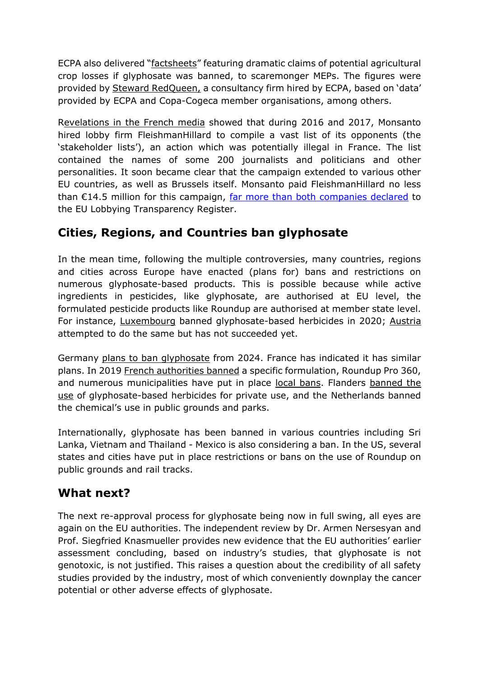ECPA also delivered "[factsheets](http://www.ecpa.eu/sites/default/files/ECPA_glyphosate_infographic_web.pdf)" featuring dramatic claims of potential agricultural crop losses if glyphosate was banned, to scaremonger MEPs. The figures were provided by [Steward RedQueen,](http://www.ecpa.eu/sites/default/files/documents/Glyphosate%20Final%20Report_EU%20results_20Feb2017.pdf) a consultancy firm hired by ECPA, based on 'data' provided by ECPA and Copa-Cogeca member organisations, among others.

[Revelations in the French media](https://www.lemonde.fr/planete/article/2019/05/09/fichier-monsanto-des-dizaines-de-personnalites-classees-illegalement-selon-leur-position-sur-le-glyphosate_5460190_3244.html) showed that during 2016 and 2017, Monsanto hired lobby firm FleishmanHillard to compile a vast list of its opponents (the 'stakeholder lists'), an action which was potentially illegal in France. The list contained the names of some 200 journalists and politicians and other personalities. It soon became clear that the campaign extended to various other EU countries, as well as Brussels itself. Monsanto paid FleishmanHillard no less than €14.5 million for this campaign, [far more than both companies declared](https://corporateeurope.org/en/2020/05/hidden-contracts-corporate-lobby-spending-eu-member-states-spotlight) to the EU Lobbying Transparency Register.

# **Cities, Regions, and Countries ban glyphosate**

In the mean time, following the multiple controversies, many countries, regions and cities across Europe have enacted (plans for) bans and restrictions on numerous glyphosate-based products. This is possible because while active ingredients in pesticides, like glyphosate, are authorised at EU level, the formulated pesticide products like Roundup are authorised at member state level. For instance, [Luxembourg](https://gouvernement.lu/en/actualites/toutes_actualites/communiques/2020/01-janvier/16-interdiction-glyphosate.html) banned glyphosate-based herbicides in 2020; [Austria](https://www.euractiv.com/section/agriculture-food/news/austria-on-course-to-become-first-eu-country-to-ban-glyphosate/) attempted to do the same but has not succeeded yet.

Germany [plans to ban glyphosate](https://www.reuters.com/article/us-germany-farming-lawmaking-idUSKBN2AA1GF/) from 2024. France has indicated it has similar plans. In 2019 [French authorities banned](https://phys.org/news/2019-01-france-roundup-weed-killer-court.html) a specific formulation, Roundup Pro 360, and numerous municipalities have put in place [local bans.](https://www.reuters.com/article/us-france-agriculture-glyphosate/french-mayors-ban-glyphosate-weedkiller-defying-government-idUSKCN1VC2C1) Flanders [banned the](https://www.brusselstimes.com/news/belgium-all-news/43150/flemish-government-approves-ban-on-glyphosate-for-individuals/)  [use](https://www.brusselstimes.com/news/belgium-all-news/43150/flemish-government-approves-ban-on-glyphosate-for-individuals/) of glyphosate-based herbicides for private use, and the Netherlands banned the chemical's use in public grounds and parks.

Internationally, glyphosate has been banned in various countries including Sri Lanka, Vietnam and Thailand - Mexico is also considering a ban. In the US, several states and cities have put in place restrictions or bans on the use of Roundup on public grounds and rail tracks.

#### **What next?**

The next re-approval process for glyphosate being now in full swing, all eyes are again on the EU authorities. The independent review by Dr. Armen Nersesyan and Prof. Siegfried Knasmueller provides new evidence that the EU authorities' earlier assessment concluding, based on industry's studies, that glyphosate is not genotoxic, is not justified. This raises a question about the credibility of all safety studies provided by the industry, most of which conveniently downplay the cancer potential or other adverse effects of glyphosate.